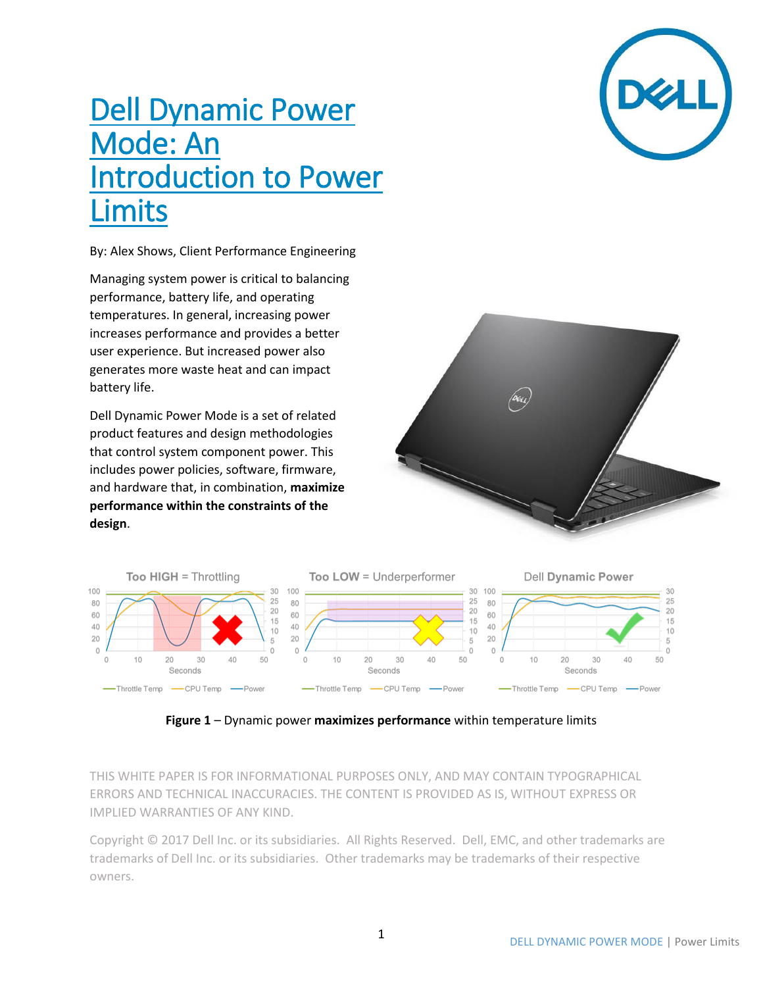# Dell Dynamic Power Mode: An **Introduction to Power** imits

By: Alex Shows, Client Performance Engineering

Managing system power is critical to balancing performance, battery life, and operating temperatures. In general, increasing power increases performance and provides a better user experience. But increased power also generates more waste heat and can impact battery life.

Dell Dynamic Power Mode is a set of related product features and design methodologies that control system component power. This includes power policies, software, firmware, and hardware that, in combination, **maximize performance within the constraints of the design**.







**Figure 1** – Dynamic power **maximizes performance** within temperature limits

THIS WHITE PAPER IS FOR INFORMATIONAL PURPOSES ONLY, AND MAY CONTAIN TYPOGRAPHICAL ERRORS AND TECHNICAL INACCURACIES. THE CONTENT IS PROVIDED AS IS, WITHOUT EXPRESS OR IMPLIED WARRANTIES OF ANY KIND.

Copyright © 2017 Dell Inc. or its subsidiaries. All Rights Reserved. Dell, EMC, and other trademarks are trademarks of Dell Inc. or its subsidiaries. Other trademarks may be trademarks of their respective owners.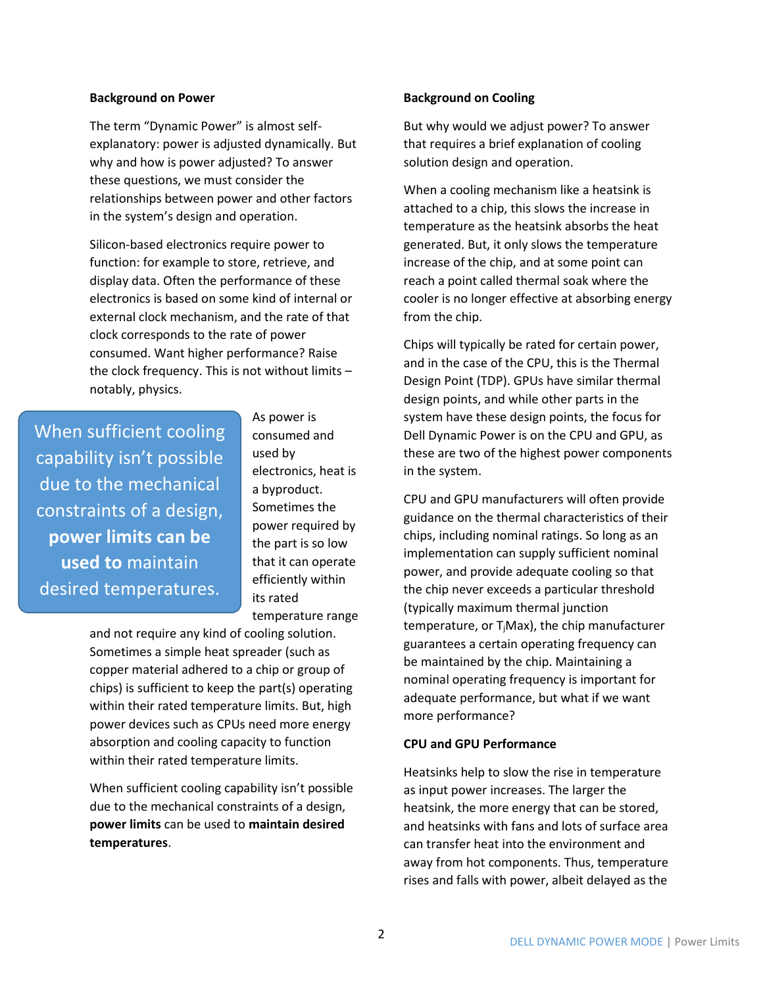## **Background on Power**

The term "Dynamic Power" is almost selfexplanatory: power is adjusted dynamically. But why and how is power adjusted? To answer these questions, we must consider the relationships between power and other factors in the system's design and operation.

Silicon-based electronics require power to function: for example to store, retrieve, and display data. Often the performance of these electronics is based on some kind of internal or external clock mechanism, and the rate of that clock corresponds to the rate of power consumed. Want higher performance? Raise the clock frequency. This is not without limits – notably, physics.

When sufficient cooling capability isn't possible due to the mechanical constraints of a design, **power limits can be used to** maintain desired temperatures.

As power is consumed and used by electronics, heat is a byproduct. Sometimes the power required by the part is so low that it can operate efficiently within its rated temperature range

and not require any kind of cooling solution. Sometimes a simple heat spreader (such as copper material adhered to a chip or group of chips) is sufficient to keep the part(s) operating within their rated temperature limits. But, high power devices such as CPUs need more energy absorption and cooling capacity to function within their rated temperature limits.

When sufficient cooling capability isn't possible due to the mechanical constraints of a design, **power limits** can be used to **maintain desired temperatures**.

## **Background on Cooling**

But why would we adjust power? To answer that requires a brief explanation of cooling solution design and operation.

When a cooling mechanism like a heatsink is attached to a chip, this slows the increase in temperature as the heatsink absorbs the heat generated. But, it only slows the temperature increase of the chip, and at some point can reach a point called thermal soak where the cooler is no longer effective at absorbing energy from the chip.

Chips will typically be rated for certain power, and in the case of the CPU, this is the Thermal Design Point (TDP). GPUs have similar thermal design points, and while other parts in the system have these design points, the focus for Dell Dynamic Power is on the CPU and GPU, as these are two of the highest power components in the system.

CPU and GPU manufacturers will often provide guidance on the thermal characteristics of their chips, including nominal ratings. So long as an implementation can supply sufficient nominal power, and provide adequate cooling so that the chip never exceeds a particular threshold (typically maximum thermal junction temperature, or T<sub>i</sub>Max), the chip manufacturer guarantees a certain operating frequency can be maintained by the chip. Maintaining a nominal operating frequency is important for adequate performance, but what if we want more performance?

## **CPU and GPU Performance**

Heatsinks help to slow the rise in temperature as input power increases. The larger the heatsink, the more energy that can be stored, and heatsinks with fans and lots of surface area can transfer heat into the environment and away from hot components. Thus, temperature rises and falls with power, albeit delayed as the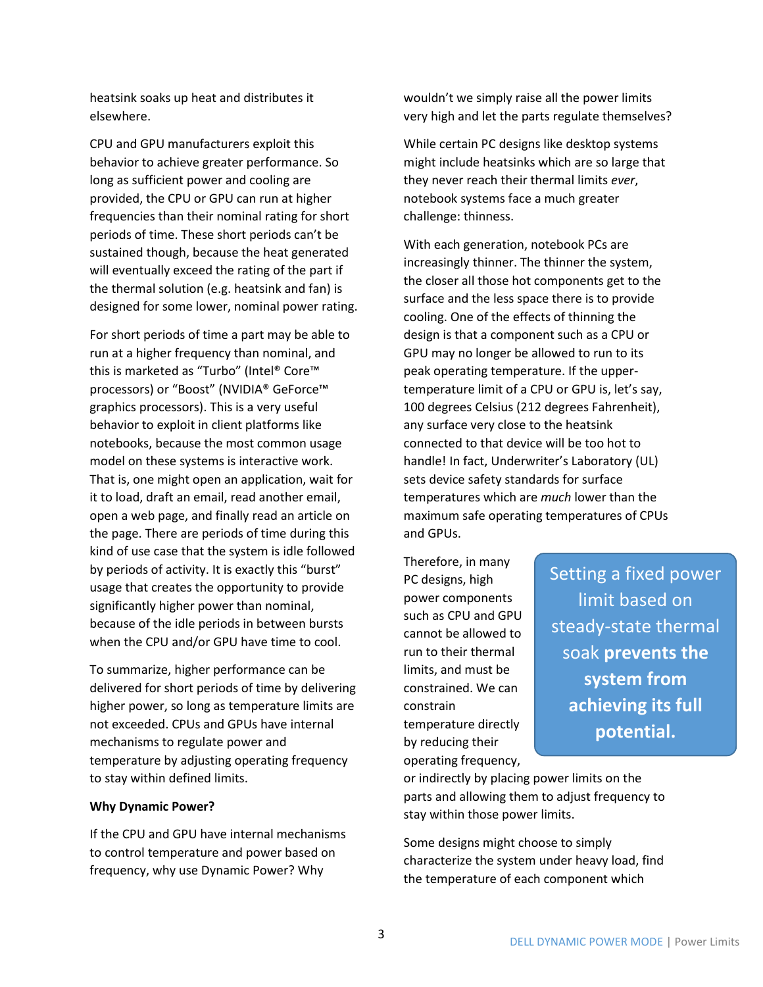heatsink soaks up heat and distributes it elsewhere.

CPU and GPU manufacturers exploit this behavior to achieve greater performance. So long as sufficient power and cooling are provided, the CPU or GPU can run at higher frequencies than their nominal rating for short periods of time. These short periods can't be sustained though, because the heat generated will eventually exceed the rating of the part if the thermal solution (e.g. heatsink and fan) is designed for some lower, nominal power rating.

For short periods of time a part may be able to run at a higher frequency than nominal, and this is marketed as "Turbo" (Intel® Core™ processors) or "Boost" (NVIDIA® GeForce™ graphics processors). This is a very useful behavior to exploit in client platforms like notebooks, because the most common usage model on these systems is interactive work. That is, one might open an application, wait for it to load, draft an email, read another email, open a web page, and finally read an article on the page. There are periods of time during this kind of use case that the system is idle followed by periods of activity. It is exactly this "burst" usage that creates the opportunity to provide significantly higher power than nominal, because of the idle periods in between bursts when the CPU and/or GPU have time to cool.

To summarize, higher performance can be delivered for short periods of time by delivering higher power, so long as temperature limits are not exceeded. CPUs and GPUs have internal mechanisms to regulate power and temperature by adjusting operating frequency to stay within defined limits.

## **Why Dynamic Power?**

If the CPU and GPU have internal mechanisms to control temperature and power based on frequency, why use Dynamic Power? Why

wouldn't we simply raise all the power limits very high and let the parts regulate themselves?

While certain PC designs like desktop systems might include heatsinks which are so large that they never reach their thermal limits *ever*, notebook systems face a much greater challenge: thinness.

With each generation, notebook PCs are increasingly thinner. The thinner the system, the closer all those hot components get to the surface and the less space there is to provide cooling. One of the effects of thinning the design is that a component such as a CPU or GPU may no longer be allowed to run to its peak operating temperature. If the uppertemperature limit of a CPU or GPU is, let's say, 100 degrees Celsius (212 degrees Fahrenheit), any surface very close to the heatsink connected to that device will be too hot to handle! In fact, Underwriter's Laboratory (UL) sets device safety standards for surface temperatures which are *much* lower than the maximum safe operating temperatures of CPUs and GPUs.

Therefore, in many PC designs, high power components such as CPU and GPU cannot be allowed to run to their thermal limits, and must be constrained. We can constrain temperature directly by reducing their operating frequency,

Setting a fixed power limit based on steady-state thermal soak **prevents the system from achieving its full potential.**

or indirectly by placing power limits on the parts and allowing them to adjust frequency to stay within those power limits.

Some designs might choose to simply characterize the system under heavy load, find the temperature of each component which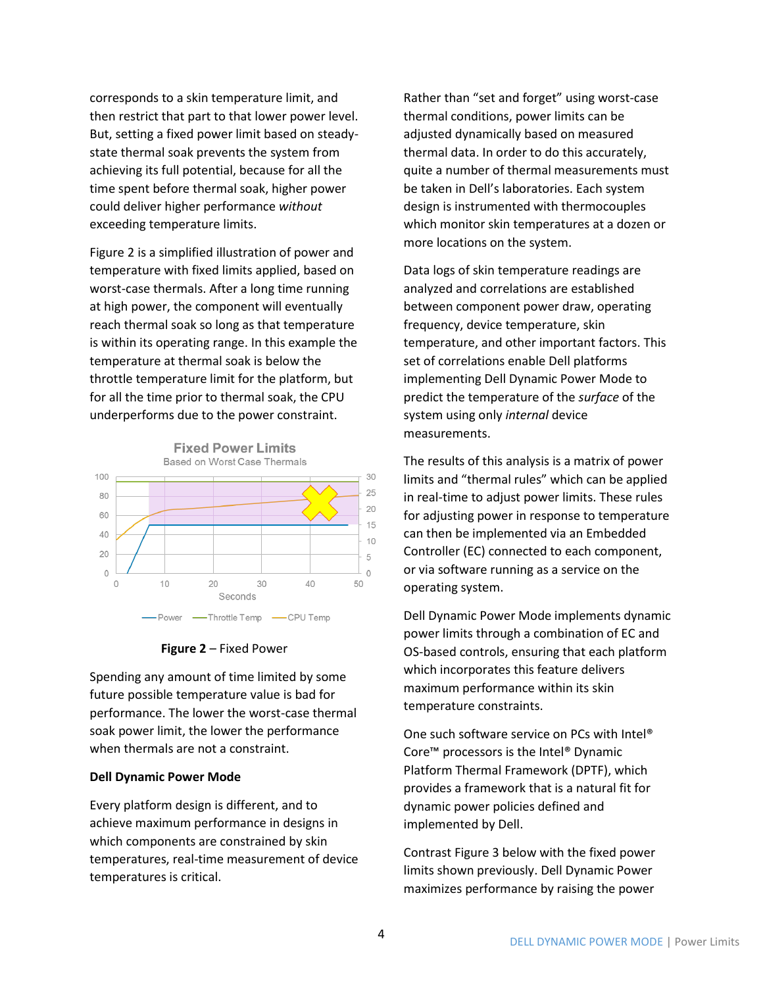corresponds to a skin temperature limit, and then restrict that part to that lower power level. But, setting a fixed power limit based on steadystate thermal soak prevents the system from achieving its full potential, because for all the time spent before thermal soak, higher power could deliver higher performance *without* exceeding temperature limits.

Figure 2 is a simplified illustration of power and temperature with fixed limits applied, based on worst-case thermals. After a long time running at high power, the component will eventually reach thermal soak so long as that temperature is within its operating range. In this example the temperature at thermal soak is below the throttle temperature limit for the platform, but for all the time prior to thermal soak, the CPU underperforms due to the power constraint.





Spending any amount of time limited by some future possible temperature value is bad for performance. The lower the worst-case thermal soak power limit, the lower the performance when thermals are not a constraint.

## **Dell Dynamic Power Mode**

Every platform design is different, and to achieve maximum performance in designs in which components are constrained by skin temperatures, real-time measurement of device temperatures is critical.

Rather than "set and forget" using worst-case thermal conditions, power limits can be adjusted dynamically based on measured thermal data. In order to do this accurately, quite a number of thermal measurements must be taken in Dell's laboratories. Each system design is instrumented with thermocouples which monitor skin temperatures at a dozen or more locations on the system.

Data logs of skin temperature readings are analyzed and correlations are established between component power draw, operating frequency, device temperature, skin temperature, and other important factors. This set of correlations enable Dell platforms implementing Dell Dynamic Power Mode to predict the temperature of the *surface* of the system using only *internal* device measurements.

The results of this analysis is a matrix of power limits and "thermal rules" which can be applied in real-time to adjust power limits. These rules for adjusting power in response to temperature can then be implemented via an Embedded Controller (EC) connected to each component, or via software running as a service on the operating system.

Dell Dynamic Power Mode implements dynamic power limits through a combination of EC and OS-based controls, ensuring that each platform which incorporates this feature delivers maximum performance within its skin temperature constraints.

One such software service on PCs with Intel® Core™ processors is the Intel® Dynamic Platform Thermal Framework (DPTF), which provides a framework that is a natural fit for dynamic power policies defined and implemented by Dell.

Contrast Figure 3 below with the fixed power limits shown previously. Dell Dynamic Power maximizes performance by raising the power